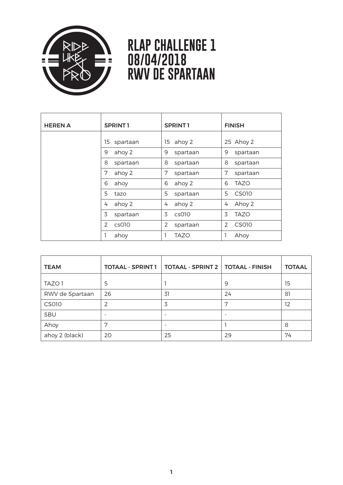

## **RLAP CHALLENGE 1 08/04/2018 RWV DE SPARTAAN**

| <b>HEREN A</b> | SPRINT <sub>1</sub> | <b>SPRINT1</b> | <b>FINISH</b> |
|----------------|---------------------|----------------|---------------|
|                | spartaan<br>15      | ahoy 2<br>15   | 25 Ahoy 2     |
|                | ahoy 2              | 9              | 9             |
|                | 9                   | spartaan       | spartaan      |
|                | 8                   | 8              | 8             |
|                | spartaan            | spartaan       | spartaan      |
|                | 7                   | 7              | 7             |
|                | ahoy 2              | spartaan       | spartaan      |
|                | 6                   | 6              | 6             |
|                | ahoy                | ahoy 2         | <b>TAZO</b>   |
|                | 5                   | 5              | 5             |
|                | tazo                | spartaan       | CS010         |
|                | ahoy 2              | ahoy 2         | Ahoy 2        |
|                | 4                   | 4              | 4             |
|                | 3                   | 3              | 3             |
|                | spartaan            | cs010          | <b>TAZO</b>   |
|                | $\mathcal{P}$       | $\overline{2}$ | $\mathcal{P}$ |
|                | cs010               | spartaan       | CS010         |
|                | ahoy                | TAZO           | Ahoy<br>1     |

| <b>TEAM</b>     | <b>TOTAAL - SPRINT 1</b> | <b>TOTAAL - SPRINT 2   TOTAAL - FINISH</b> |    | <b>TOTAAL</b> |
|-----------------|--------------------------|--------------------------------------------|----|---------------|
| TAZO 1          | 5                        |                                            | 9  | 15            |
| RWV de Spartaan | 26                       | 31                                         | 24 | 81            |
| <b>CS010</b>    | 2                        | 3                                          | 7  | 12            |
| SBU             |                          | ٠                                          | ۰  |               |
| Ahoy            | 7                        | $\qquad \qquad$                            |    | 8             |
| ahoy 2 (black)  | 20                       | 25                                         | 29 | 74            |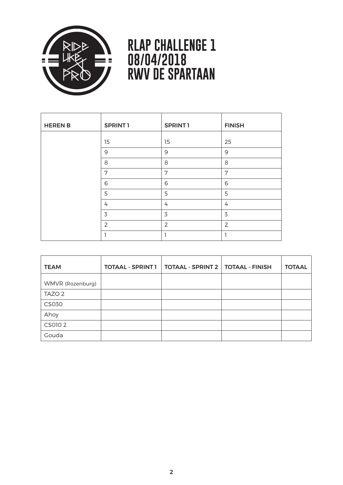

## **RLAP CHALLENGE 1 08/04/2018 RWV DE SPARTAAN**

| <b>HEREN B</b> | SPRINT <sub>1</sub> | <b>SPRINT1</b> | <b>FINISH</b>  |
|----------------|---------------------|----------------|----------------|
|                | 15                  | 15             | 25             |
|                | $\mathsf{9}$        | $\mathsf 9$    | $9$            |
|                | 8                   | 8              | 8              |
|                | 7                   | 7              | 7              |
|                | 6                   | 6              | 6              |
|                | 5                   | 5              | 5              |
|                | 4                   | $\overline{4}$ | 4              |
|                | 3                   | 3              | 3              |
|                | $\mathcal{P}$       | $\overline{2}$ | $\overline{2}$ |
|                |                     | ┑              |                |

| <b>TEAM</b>       | <b>TOTAAL - SPRINT 1</b> | <b>TOTAAL - SPRINT 2   TOTAAL - FINISH</b> | <b>TOTAAL</b> |
|-------------------|--------------------------|--------------------------------------------|---------------|
| WMVR (Rozenburg)  |                          |                                            |               |
| TAZO <sub>2</sub> |                          |                                            |               |
| <b>CS030</b>      |                          |                                            |               |
| Ahoy              |                          |                                            |               |
| CS010 2           |                          |                                            |               |
| Gouda             |                          |                                            |               |